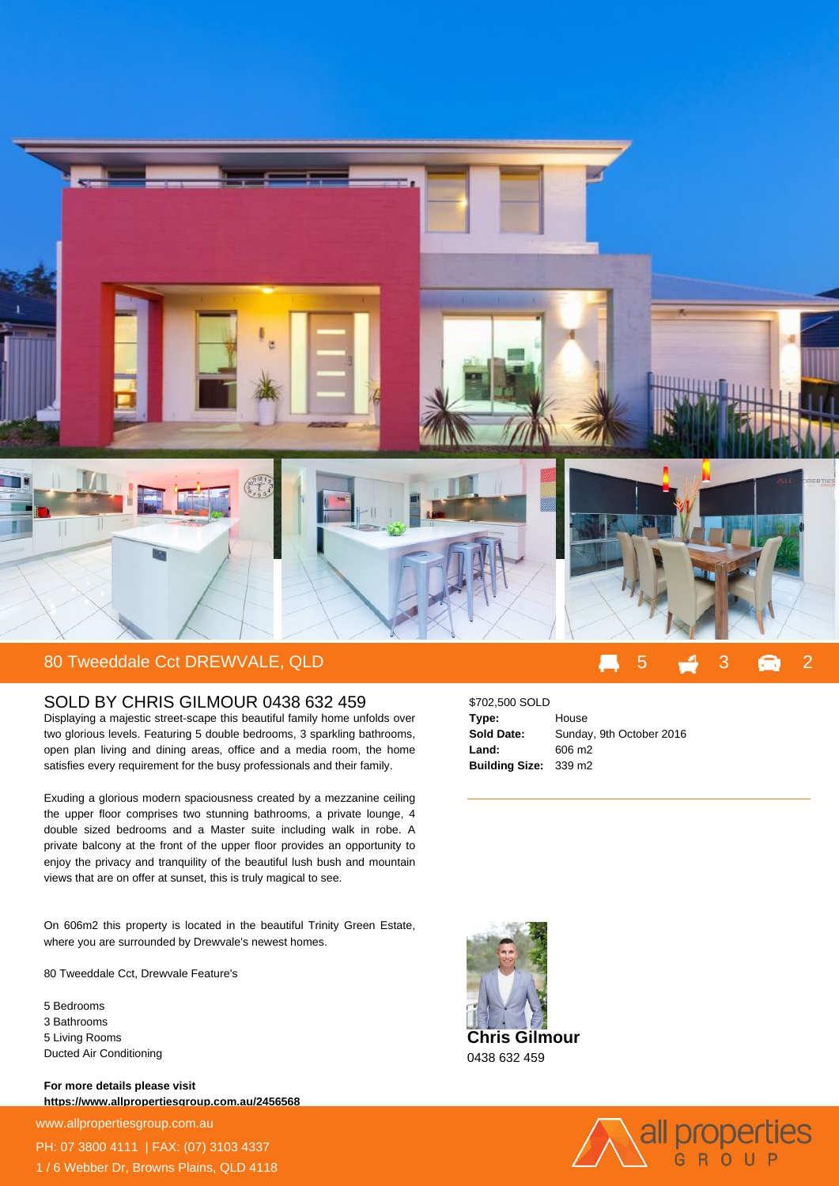

## SOLD BY CHRIS GILMOUR 0438 632 459

Displaying a majestic street-scape this beautiful family home unfolds over two glorious levels. Featuring 5 double bedrooms, 3 sparkling bathrooms, open plan living and dining areas, office and a media room, the home satisfies every requirement for the busy professionals and their family.

Exuding a glorious modern spaciousness created by a mezzanine ceiling the upper floor comprises two stunning bathrooms, a private lounge, 4 double sized bedrooms and a Master suite including walk in robe. A private balcony at the front of the upper floor provides an opportunity to enjoy the privacy and tranquility of the beautiful lush bush and mountain views that are on offer at sunset, this is truly magical to see.

On 606m2 this property is located in the beautiful Trinity Green Estate, where you are surrounded by Drewvale's newest homes.

80 Tweeddale Cct, Drewvale Feature's

5 Bedrooms 3 Bathrooms 5 Living Rooms Ducted Air Conditioning

**For more details please visit https://www.allpropertiesgroup.com.au/2456568**

www.allpropertiesgroup.com.au PH: 07 3800 4111 | FAX: (07) 3103 4337 1 / 6 Webber Dr, Browns Plains, QLD 4118

| \$702,500 SOLD        |                          |
|-----------------------|--------------------------|
| Type:                 | House                    |
| <b>Sold Date:</b>     | Sunday, 9th October 2016 |
| Land:                 | 606 m <sub>2</sub>       |
| Building Size: 339 m2 |                          |



0438 632 459